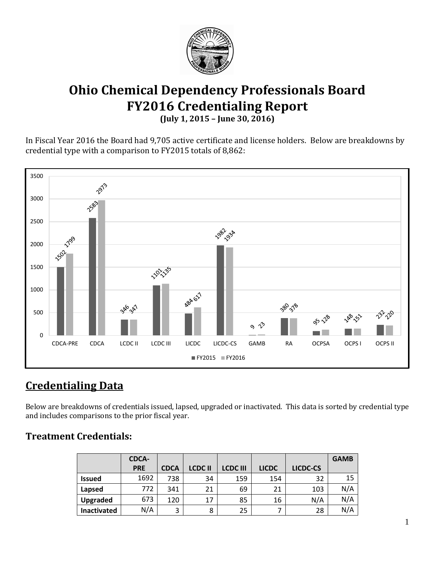

# **Ohio Chemical Dependency Professionals Board FY2016 Credentialing Report (July 1, 2015 – June 30, 2016)**

In Fiscal Year 2016 the Board had 9,705 active certificate and license holders. Below are breakdowns by credential type with a comparison to FY2015 totals of 8,862:



# **Credentialing Data**

Below are breakdowns of credentials issued, lapsed, upgraded or inactivated. This data is sorted by credential type and includes comparisons to the prior fiscal year.

### **Treatment Credentials:**

|                    | <b>CDCA-</b> |             |               |                 |              |          | <b>GAMB</b> |
|--------------------|--------------|-------------|---------------|-----------------|--------------|----------|-------------|
|                    | <b>PRE</b>   | <b>CDCA</b> | <b>LCDCII</b> | <b>LCDC III</b> | <b>LICDC</b> | LICDC-CS |             |
| <b>Issued</b>      | 1692         | 738         | 34            | 159             | 154          | 32       | 15          |
| Lapsed             | 772.         | 341         | 21            | 69              | 21           | 103      | N/A         |
| Upgraded           | 673          | 120         | 17            | 85              | 16           | N/A      | N/A         |
| <b>Inactivated</b> | N/A          | 3           | 8             | 25              |              | 28       | N/A         |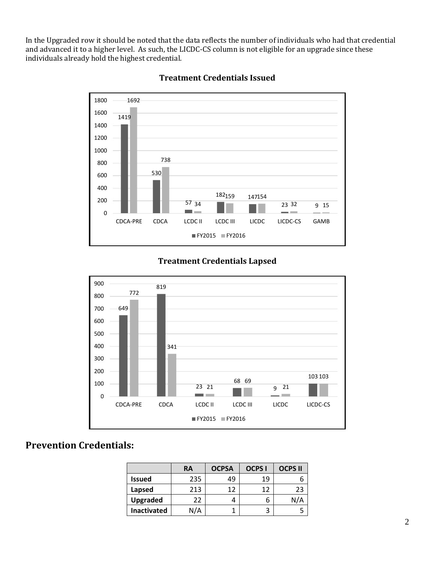In the Upgraded row it should be noted that the data reflects the number of individuals who had that credential and advanced it to a higher level. As such, the LICDC-CS column is not eligible for an upgrade since these individuals already hold the highest credential.



#### **Treatment Credentials Issued**

#### **Treatment Credentials Lapsed**



### **Prevention Credentials:**

|                    | <b>RA</b> | <b>OCPSA</b> | <b>OCPS I</b> | <b>OCPS II</b> |
|--------------------|-----------|--------------|---------------|----------------|
| <b>Issued</b>      | 235       | 49           | 19            |                |
| Lapsed             | 213       | 12           | 12            | 23             |
| <b>Upgraded</b>    | 22        |              |               | N/A            |
| <b>Inactivated</b> | N/A       |              |               |                |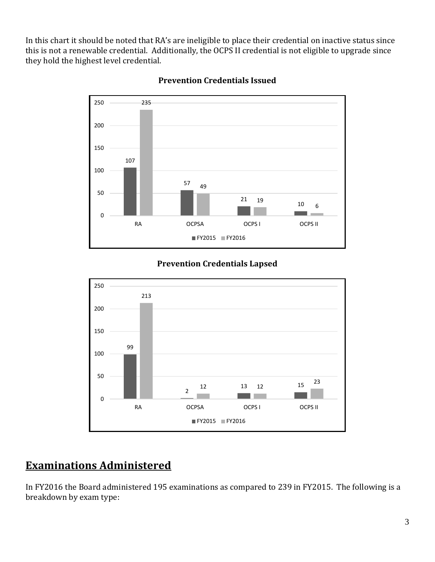In this chart it should be noted that RA's are ineligible to place their credential on inactive status since this is not a renewable credential. Additionally, the OCPS II credential is not eligible to upgrade since they hold the highest level credential.



### **Prevention Credentials Issued**

### **Prevention Credentials Lapsed**



## **Examinations Administered**

In FY2016 the Board administered 195 examinations as compared to 239 in FY2015. The following is a breakdown by exam type: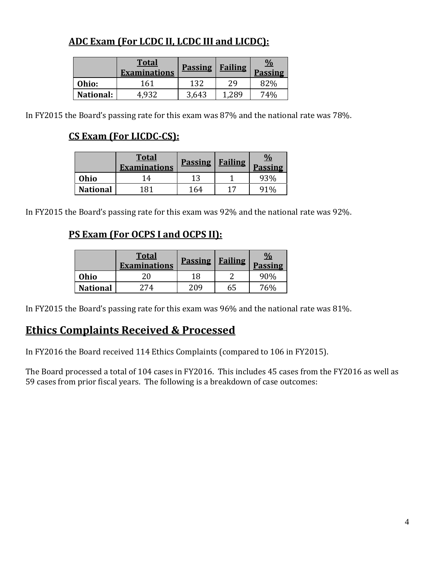## **ADC Exam (For LCDC II, LCDC III and LICDC):**

|                  | <b>Total</b><br><b>Examinations</b> | <b>Passing</b> | <b>Failing</b> | $\frac{0}{0}$<br><b>Passing</b> |
|------------------|-------------------------------------|----------------|----------------|---------------------------------|
| Ohio:            | 161                                 | 132            | 29             | 82%                             |
| <b>National:</b> | 4.932                               | 3,643          | 1.289          | 74%                             |

In FY2015 the Board's passing rate for this exam was 87% and the national rate was 78%.

## **CS Exam (For LICDC-CS):**

|                 | <b>Total</b><br><b>Examinations</b> | <b>Passing</b> | <b>Failing</b> | $\frac{0}{2}$<br><b>Passing</b> |
|-----------------|-------------------------------------|----------------|----------------|---------------------------------|
| Ohio            | 14                                  | 13             |                |                                 |
| <b>National</b> | 181                                 | 164            | 17             |                                 |

In FY2015 the Board's passing rate for this exam was 92% and the national rate was 92%.

### **PS Exam (For OCPS I and OCPS II):**

|                 | <b>Total</b><br><b>Examinations</b> | <b>Passing</b> | <b>Failing</b> | <u>%</u><br><b>Passing</b> |
|-----------------|-------------------------------------|----------------|----------------|----------------------------|
| Ohio            |                                     | 18             |                | 90%                        |
| <b>National</b> | 274                                 | 209            | 65             | 76%                        |

In FY2015 the Board's passing rate for this exam was 96% and the national rate was 81%.

## **Ethics Complaints Received & Processed**

In FY2016 the Board received 114 Ethics Complaints (compared to 106 in FY2015).

The Board processed a total of 104 cases in FY2016. This includes 45 cases from the FY2016 as well as 59 cases from prior fiscal years. The following is a breakdown of case outcomes: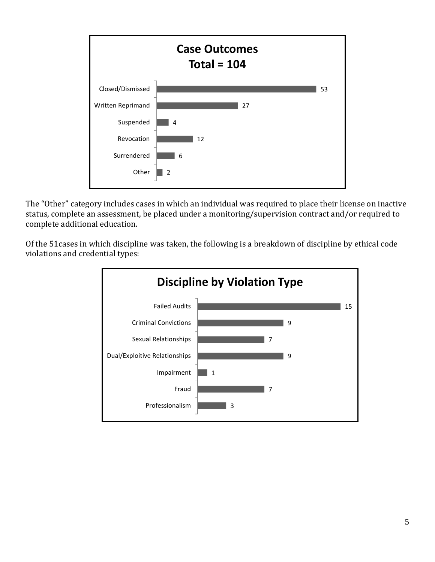

The "Other" category includes cases in which an individual was required to place their license on inactive status, complete an assessment, be placed under a monitoring/supervision contract and/or required to complete additional education.

Of the 51cases in which discipline was taken, the following is a breakdown of discipline by ethical code violations and credential types: